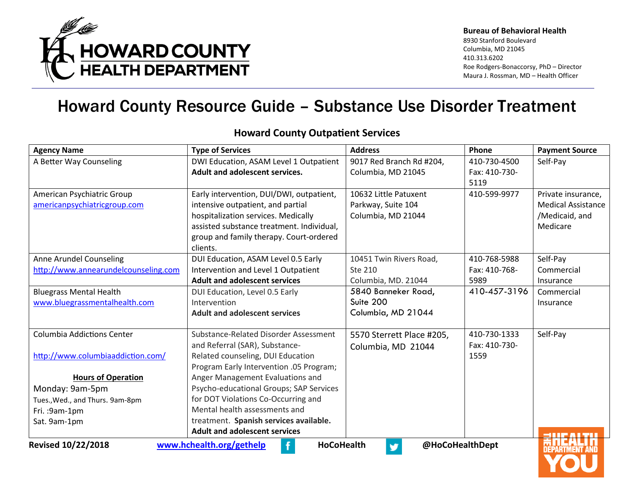

| <b>Agency Name</b>                   | <b>Type of Services</b>                       | <b>Address</b>            | Phone         | <b>Payment Source</b>     |
|--------------------------------------|-----------------------------------------------|---------------------------|---------------|---------------------------|
| A Better Way Counseling              | DWI Education, ASAM Level 1 Outpatient        | 9017 Red Branch Rd #204,  | 410-730-4500  | Self-Pay                  |
|                                      | Adult and adolescent services.                | Columbia, MD 21045        | Fax: 410-730- |                           |
|                                      |                                               |                           | 5119          |                           |
| American Psychiatric Group           | Early intervention, DUI/DWI, outpatient,      | 10632 Little Patuxent     | 410-599-9977  | Private insurance,        |
| americanpsychiatricgroup.com         | intensive outpatient, and partial             | Parkway, Suite 104        |               | <b>Medical Assistance</b> |
|                                      | hospitalization services. Medically           | Columbia, MD 21044        |               | /Medicaid, and            |
|                                      | assisted substance treatment. Individual,     |                           |               | Medicare                  |
|                                      | group and family therapy. Court-ordered       |                           |               |                           |
|                                      | clients.                                      |                           |               |                           |
| Anne Arundel Counseling              | DUI Education, ASAM Level 0.5 Early           | 10451 Twin Rivers Road,   | 410-768-5988  | Self-Pay                  |
| http://www.annearundelcounseling.com | Intervention and Level 1 Outpatient           | Ste 210                   | Fax: 410-768- | Commercial                |
|                                      | <b>Adult and adolescent services</b>          | Columbia, MD. 21044       | 5989          | Insurance                 |
| <b>Bluegrass Mental Health</b>       | DUI Education, Level 0.5 Early                | 5840 Banneker Road,       | 410-457-3196  | Commercial                |
| www.bluegrassmentalhealth.com        | Intervention                                  | Suite 200                 |               | Insurance                 |
|                                      | <b>Adult and adolescent services</b>          | Columbia, MD 21044        |               |                           |
| <b>Columbia Addictions Center</b>    | Substance-Related Disorder Assessment         | 5570 Sterrett Place #205, | 410-730-1333  | Self-Pay                  |
|                                      | and Referral (SAR), Substance-                | Columbia, MD 21044        | Fax: 410-730- |                           |
| http://www.columbiaaddiction.com/    | Related counseling, DUI Education             |                           | 1559          |                           |
|                                      | Program Early Intervention .05 Program;       |                           |               |                           |
| <b>Hours of Operation</b>            | Anger Management Evaluations and              |                           |               |                           |
| Monday: 9am-5pm                      | Psycho-educational Groups; SAP Services       |                           |               |                           |
| Tues., Wed., and Thurs. 9am-8pm      | for DOT Violations Co-Occurring and           |                           |               |                           |
| Fri. : 9am-1pm                       | Mental health assessments and                 |                           |               |                           |
| Sat. 9am-1pm                         | treatment. Spanish services available.        |                           |               |                           |
|                                      | <b>Adult and adolescent services</b>          |                           |               |                           |
| <b>Revised 10/22/2018</b>            | www.hchealth.org/gethelp<br><b>HoCoHealth</b> | @HoCoHealthDept<br>v      |               | <b>DEPARTMENT AND</b>     |

#### **Howard County Outpatient Services**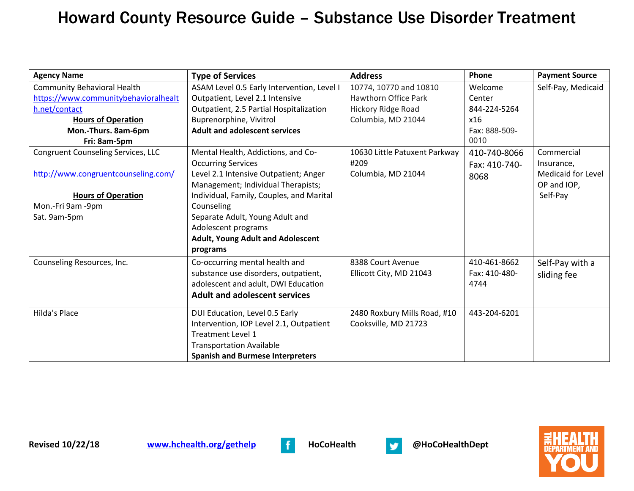| <b>Agency Name</b>                        | <b>Type of Services</b>                    | <b>Address</b>                | Phone         | <b>Payment Source</b>     |
|-------------------------------------------|--------------------------------------------|-------------------------------|---------------|---------------------------|
| <b>Community Behavioral Health</b>        | ASAM Level 0.5 Early Intervention, Level I | 10774, 10770 and 10810        | Welcome       | Self-Pay, Medicaid        |
| https://www.communitybehavioralhealt      | Outpatient, Level 2.1 Intensive            | <b>Hawthorn Office Park</b>   | Center        |                           |
| h.net/contact                             | Outpatient, 2.5 Partial Hospitalization    | Hickory Ridge Road            | 844-224-5264  |                           |
| <b>Hours of Operation</b>                 | Buprenorphine, Vivitrol                    | Columbia, MD 21044            | x16           |                           |
| Mon.-Thurs. 8am-6pm                       | <b>Adult and adolescent services</b>       |                               | Fax: 888-509- |                           |
| Fri: 8am-5pm                              |                                            |                               | 0010          |                           |
| <b>Congruent Counseling Services, LLC</b> | Mental Health, Addictions, and Co-         | 10630 Little Patuxent Parkway | 410-740-8066  | Commercial                |
|                                           | <b>Occurring Services</b>                  | #209                          | Fax: 410-740- | Insurance,                |
| http://www.congruentcounseling.com/       | Level 2.1 Intensive Outpatient; Anger      | Columbia, MD 21044            | 8068          | <b>Medicaid for Level</b> |
|                                           | Management; Individual Therapists;         |                               |               | OP and IOP,               |
| <b>Hours of Operation</b>                 | Individual, Family, Couples, and Marital   |                               |               | Self-Pay                  |
| Mon.-Fri 9am -9pm                         | Counseling                                 |                               |               |                           |
| Sat. 9am-5pm                              | Separate Adult, Young Adult and            |                               |               |                           |
|                                           | Adolescent programs                        |                               |               |                           |
|                                           | <b>Adult, Young Adult and Adolescent</b>   |                               |               |                           |
|                                           | programs                                   |                               |               |                           |
| Counseling Resources, Inc.                | Co-occurring mental health and             | 8388 Court Avenue             | 410-461-8662  | Self-Pay with a           |
|                                           | substance use disorders, outpatient,       | Ellicott City, MD 21043       | Fax: 410-480- | sliding fee               |
|                                           | adolescent and adult, DWI Education        |                               | 4744          |                           |
|                                           | <b>Adult and adolescent services</b>       |                               |               |                           |
| Hilda's Place                             | DUI Education, Level 0.5 Early             | 2480 Roxbury Mills Road, #10  | 443-204-6201  |                           |
|                                           | Intervention, IOP Level 2.1, Outpatient    | Cooksville, MD 21723          |               |                           |
|                                           | <b>Treatment Level 1</b>                   |                               |               |                           |
|                                           | <b>Transportation Available</b>            |                               |               |                           |
|                                           | <b>Spanish and Burmese Interpreters</b>    |                               |               |                           |



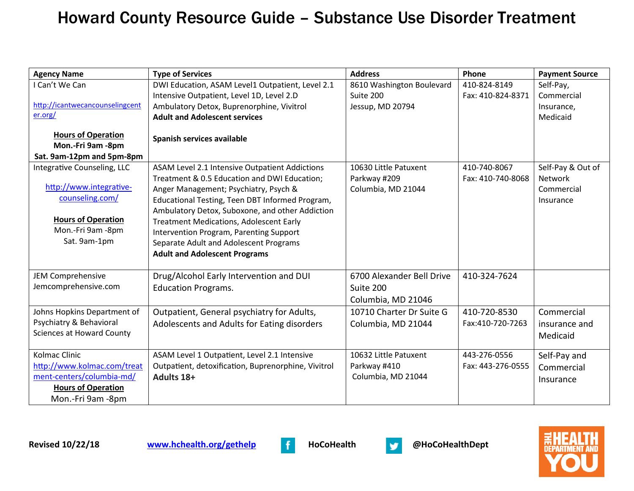| <b>Agency Name</b>               | <b>Type of Services</b>                             | <b>Address</b>            | Phone             | <b>Payment Source</b> |
|----------------------------------|-----------------------------------------------------|---------------------------|-------------------|-----------------------|
| I Can't We Can                   | DWI Education, ASAM Level1 Outpatient, Level 2.1    | 8610 Washington Boulevard | 410-824-8149      | Self-Pay,             |
|                                  | Intensive Outpatient, Level 1D, Level 2.D           | Suite 200                 | Fax: 410-824-8371 | Commercial            |
| http://icantwecancounselingcent  | Ambulatory Detox, Buprenorphine, Vivitrol           | Jessup, MD 20794          |                   | Insurance,            |
| er.org/                          | <b>Adult and Adolescent services</b>                |                           |                   | Medicaid              |
| <b>Hours of Operation</b>        |                                                     |                           |                   |                       |
| Mon.-Fri 9am -8pm                | Spanish services available                          |                           |                   |                       |
| Sat. 9am-12pm and 5pm-8pm        |                                                     |                           |                   |                       |
| Integrative Counseling, LLC      | ASAM Level 2.1 Intensive Outpatient Addictions      | 10630 Little Patuxent     | 410-740-8067      | Self-Pay & Out of     |
|                                  | Treatment & 0.5 Education and DWI Education;        | Parkway #209              | Fax: 410-740-8068 | <b>Network</b>        |
| http://www.integrative-          | Anger Management; Psychiatry, Psych &               | Columbia, MD 21044        |                   | Commercial            |
| counseling.com/                  | Educational Testing, Teen DBT Informed Program,     |                           |                   | Insurance             |
|                                  | Ambulatory Detox, Suboxone, and other Addiction     |                           |                   |                       |
| <b>Hours of Operation</b>        | <b>Treatment Medications, Adolescent Early</b>      |                           |                   |                       |
| Mon.-Fri 9am -8pm                | Intervention Program, Parenting Support             |                           |                   |                       |
| Sat. 9am-1pm                     | Separate Adult and Adolescent Programs              |                           |                   |                       |
|                                  | <b>Adult and Adolescent Programs</b>                |                           |                   |                       |
|                                  |                                                     |                           |                   |                       |
| <b>JEM Comprehensive</b>         | Drug/Alcohol Early Intervention and DUI             | 6700 Alexander Bell Drive | 410-324-7624      |                       |
| Jemcomprehensive.com             | <b>Education Programs.</b>                          | Suite 200                 |                   |                       |
|                                  |                                                     | Columbia, MD 21046        |                   |                       |
| Johns Hopkins Department of      | Outpatient, General psychiatry for Adults,          | 10710 Charter Dr Suite G  | 410-720-8530      | Commercial            |
| Psychiatry & Behavioral          | Adolescents and Adults for Eating disorders         | Columbia, MD 21044        | Fax:410-720-7263  | insurance and         |
| <b>Sciences at Howard County</b> |                                                     |                           |                   | Medicaid              |
|                                  |                                                     |                           |                   |                       |
| <b>Kolmac Clinic</b>             | ASAM Level 1 Outpatient, Level 2.1 Intensive        | 10632 Little Patuxent     | 443-276-0556      | Self-Pay and          |
| http://www.kolmac.com/treat      | Outpatient, detoxification, Buprenorphine, Vivitrol | Parkway #410              | Fax: 443-276-0555 | Commercial            |
| ment-centers/columbia-md/        | Adults 18+                                          | Columbia, MD 21044        |                   | Insurance             |
| <b>Hours of Operation</b>        |                                                     |                           |                   |                       |
| Mon.-Fri 9am -8pm                |                                                     |                           |                   |                       |



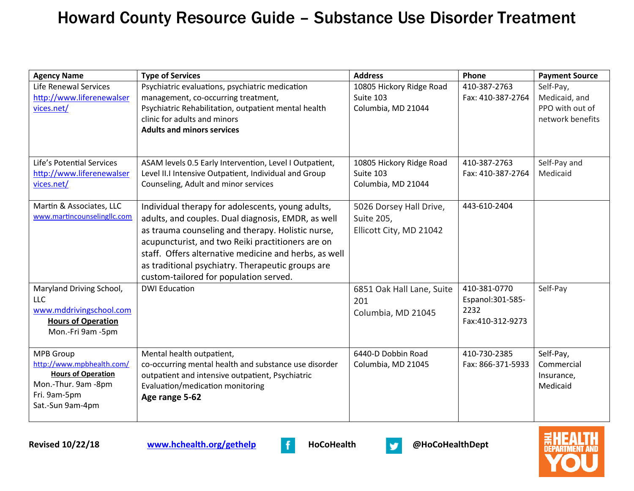| <b>Agency Name</b>          | <b>Type of Services</b>                                 | <b>Address</b>            | Phone             | <b>Payment Source</b> |
|-----------------------------|---------------------------------------------------------|---------------------------|-------------------|-----------------------|
| Life Renewal Services       | Psychiatric evaluations, psychiatric medication         | 10805 Hickory Ridge Road  | 410-387-2763      | Self-Pay,             |
| http://www.liferenewalser   | management, co-occurring treatment,                     | Suite 103                 | Fax: 410-387-2764 | Medicaid, and         |
| vices.net/                  | Psychiatric Rehabilitation, outpatient mental health    | Columbia, MD 21044        |                   | PPO with out of       |
|                             | clinic for adults and minors                            |                           |                   | network benefits      |
|                             | <b>Adults and minors services</b>                       |                           |                   |                       |
|                             |                                                         |                           |                   |                       |
| Life's Potential Services   | ASAM levels 0.5 Early Intervention, Level I Outpatient, | 10805 Hickory Ridge Road  | 410-387-2763      | Self-Pay and          |
| http://www.liferenewalser   | Level II.I Intensive Outpatient, Individual and Group   | Suite 103                 | Fax: 410-387-2764 | Medicaid              |
| vices.net/                  | Counseling, Adult and minor services                    | Columbia, MD 21044        |                   |                       |
| Martin & Associates, LLC    | Individual therapy for adolescents, young adults,       | 5026 Dorsey Hall Drive,   | 443-610-2404      |                       |
| www.martincounselingllc.com | adults, and couples. Dual diagnosis, EMDR, as well      | Suite 205,                |                   |                       |
|                             | as trauma counseling and therapy. Holistic nurse,       | Ellicott City, MD 21042   |                   |                       |
|                             | acupuncturist, and two Reiki practitioners are on       |                           |                   |                       |
|                             | staff. Offers alternative medicine and herbs, as well   |                           |                   |                       |
|                             | as traditional psychiatry. Therapeutic groups are       |                           |                   |                       |
|                             | custom-tailored for population served.                  |                           |                   |                       |
| Maryland Driving School,    | <b>DWI Education</b>                                    | 6851 Oak Hall Lane, Suite | 410-381-0770      | Self-Pay              |
| LLC                         |                                                         | 201                       | Espanol: 301-585- |                       |
| www.mddrivingschool.com     |                                                         | Columbia, MD 21045        | 2232              |                       |
| <b>Hours of Operation</b>   |                                                         |                           | Fax:410-312-9273  |                       |
| Mon.-Fri 9am -5pm           |                                                         |                           |                   |                       |
| <b>MPB</b> Group            | Mental health outpatient,                               | 6440-D Dobbin Road        | 410-730-2385      | Self-Pay,             |
| http://www.mpbhealth.com/   | co-occurring mental health and substance use disorder   | Columbia, MD 21045        | Fax: 866-371-5933 | Commercial            |
| <b>Hours of Operation</b>   | outpatient and intensive outpatient, Psychiatric        |                           |                   | Insurance,            |
| Mon.-Thur. 9am -8pm         | Evaluation/medication monitoring                        |                           |                   | Medicaid              |
| Fri. 9am-5pm                | Age range 5-62                                          |                           |                   |                       |
| Sat.-Sun 9am-4pm            |                                                         |                           |                   |                       |
|                             |                                                         |                           |                   |                       |



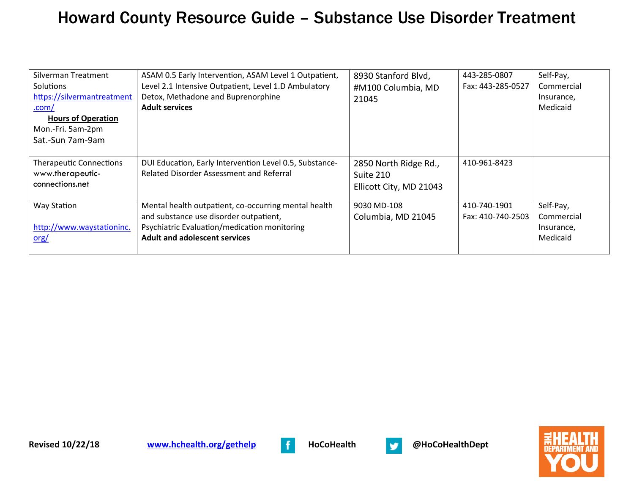| Silverman Treatment<br>Solutions<br>https://silvermantreatment<br>$.com/$<br><b>Hours of Operation</b><br>Mon.-Fri. 5am-2pm<br>Sat.-Sun 7am-9am | ASAM 0.5 Early Intervention, ASAM Level 1 Outpatient,<br>Level 2.1 Intensive Outpatient, Level 1.D Ambulatory<br>Detox, Methadone and Buprenorphine<br><b>Adult services</b>           | 8930 Stanford Blvd,<br>#M100 Columbia, MD<br>21045            | 443-285-0807<br>Fax: 443-285-0527 | Self-Pay,<br>Commercial<br>Insurance,<br>Medicaid |
|-------------------------------------------------------------------------------------------------------------------------------------------------|----------------------------------------------------------------------------------------------------------------------------------------------------------------------------------------|---------------------------------------------------------------|-----------------------------------|---------------------------------------------------|
| <b>Therapeutic Connections</b><br>www.therapeutic-<br>connections.net                                                                           | DUI Education, Early Intervention Level 0.5, Substance-<br><b>Related Disorder Assessment and Referral</b>                                                                             | 2850 North Ridge Rd.,<br>Suite 210<br>Ellicott City, MD 21043 | 410-961-8423                      |                                                   |
| Way Station<br>http://www.waystationinc.<br>$org/$                                                                                              | Mental health outpatient, co-occurring mental health<br>and substance use disorder outpatient,<br>Psychiatric Evaluation/medication monitoring<br><b>Adult and adolescent services</b> | 9030 MD-108<br>Columbia, MD 21045                             | 410-740-1901<br>Fax: 410-740-2503 | Self-Pay,<br>Commercial<br>Insurance,<br>Medicaid |



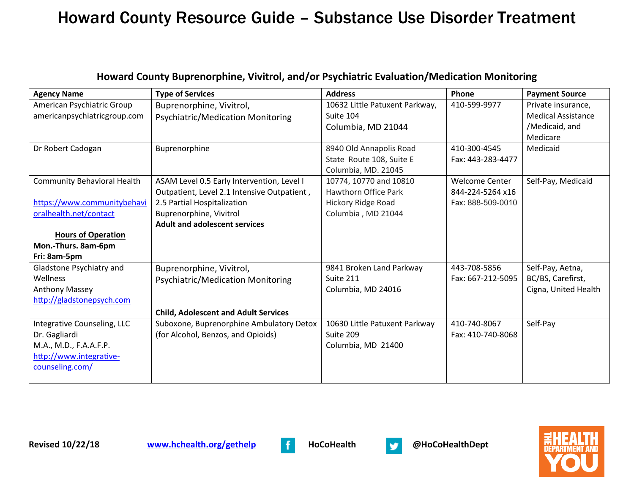| <b>Agency Name</b>                 | <b>Type of Services</b>                     | <b>Address</b>                 | Phone                 | <b>Payment Source</b>     |
|------------------------------------|---------------------------------------------|--------------------------------|-----------------------|---------------------------|
| American Psychiatric Group         | Buprenorphine, Vivitrol,                    | 10632 Little Patuxent Parkway, | 410-599-9977          | Private insurance,        |
| americanpsychiatricgroup.com       | Psychiatric/Medication Monitoring           | Suite 104                      |                       | <b>Medical Assistance</b> |
|                                    |                                             | Columbia, MD 21044             |                       | /Medicaid, and            |
|                                    |                                             |                                |                       | Medicare                  |
| Dr Robert Cadogan                  | Buprenorphine                               | 8940 Old Annapolis Road        | 410-300-4545          | Medicaid                  |
|                                    |                                             | State Route 108, Suite E       | Fax: 443-283-4477     |                           |
|                                    |                                             | Columbia, MD. 21045            |                       |                           |
| <b>Community Behavioral Health</b> | ASAM Level 0.5 Early Intervention, Level I  | 10774, 10770 and 10810         | <b>Welcome Center</b> | Self-Pay, Medicaid        |
|                                    | Outpatient, Level 2.1 Intensive Outpatient, | <b>Hawthorn Office Park</b>    | 844-224-5264 x16      |                           |
| https://www.communitybehavi        | 2.5 Partial Hospitalization                 | Hickory Ridge Road             | Fax: 888-509-0010     |                           |
| oralhealth.net/contact             | Buprenorphine, Vivitrol                     | Columbia, MD 21044             |                       |                           |
|                                    | <b>Adult and adolescent services</b>        |                                |                       |                           |
| <b>Hours of Operation</b>          |                                             |                                |                       |                           |
| Mon.-Thurs. 8am-6pm                |                                             |                                |                       |                           |
| Fri: 8am-5pm                       |                                             |                                |                       |                           |
| Gladstone Psychiatry and           | Buprenorphine, Vivitrol,                    | 9841 Broken Land Parkway       | 443-708-5856          | Self-Pay, Aetna,          |
| Wellness                           | Psychiatric/Medication Monitoring           | Suite 211                      | Fax: 667-212-5095     | BC/BS, Carefirst,         |
| <b>Anthony Massey</b>              |                                             | Columbia, MD 24016             |                       | Cigna, United Health      |
| http://gladstonepsych.com          |                                             |                                |                       |                           |
|                                    | <b>Child, Adolescent and Adult Services</b> |                                |                       |                           |
| Integrative Counseling, LLC        | Suboxone, Buprenorphine Ambulatory Detox    | 10630 Little Patuxent Parkway  | 410-740-8067          | Self-Pay                  |
| Dr. Gagliardi                      | (for Alcohol, Benzos, and Opioids)          | Suite 209                      | Fax: 410-740-8068     |                           |
| M.A., M.D., F.A.A.F.P.             |                                             | Columbia, MD 21400             |                       |                           |
| http://www.integrative-            |                                             |                                |                       |                           |
| counseling.com/                    |                                             |                                |                       |                           |
|                                    |                                             |                                |                       |                           |

#### **Howard County Buprenorphine, Vivitrol, and/or Psychiatric Evaluation/Medication Monitoring**



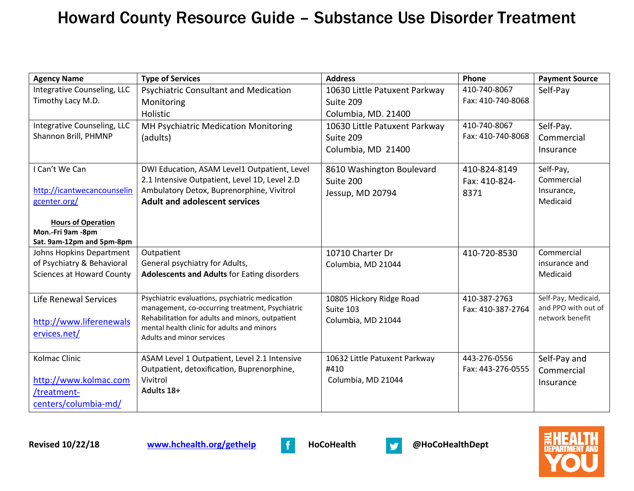| <b>Agency Name</b>                             | <b>Type of Services</b>                                                 | <b>Address</b>                | Phone             | <b>Payment Source</b> |
|------------------------------------------------|-------------------------------------------------------------------------|-------------------------------|-------------------|-----------------------|
| Integrative Counseling, LLC                    | <b>Psychiatric Consultant and Medication</b>                            | 10630 Little Patuxent Parkway | 410-740-8067      | Self-Pay              |
| Timothy Lacy M.D.                              | Monitoring                                                              | Suite 209                     | Fax: 410-740-8068 |                       |
|                                                | Holistic                                                                | Columbia, MD. 21400           |                   |                       |
| Integrative Counseling, LLC                    | MH Psychiatric Medication Monitoring                                    | 10630 Little Patuxent Parkway | 410-740-8067      | Self-Pay.             |
| Shannon Brill, PHMNP                           | (adults)                                                                | Suite 209                     | Fax: 410-740-8068 | Commercial            |
|                                                |                                                                         | Columbia, MD 21400            |                   | Insurance             |
| I Can't We Can                                 | DWI Education, ASAM Level1 Outpatient, Level                            | 8610 Washington Boulevard     | 410-824-8149      | Self-Pay,             |
|                                                | 2.1 Intensive Outpatient, Level 1D, Level 2.D                           | Suite 200                     | Fax: 410-824-     | Commercial            |
| http://icantwecancounselin                     | Ambulatory Detox, Buprenorphine, Vivitrol                               | Jessup, MD 20794              | 8371              | Insurance,            |
| gcenter.org/                                   | <b>Adult and adolescent services</b>                                    |                               |                   | Medicaid              |
|                                                |                                                                         |                               |                   |                       |
| <b>Hours of Operation</b><br>Mon.-Fri 9am -8pm |                                                                         |                               |                   |                       |
| Sat. 9am-12pm and 5pm-8pm                      |                                                                         |                               |                   |                       |
| Johns Hopkins Department                       | Outpatient                                                              | 10710 Charter Dr              | 410-720-8530      | Commercial            |
| of Psychiatry & Behavioral                     | General psychiatry for Adults,                                          | Columbia, MD 21044            |                   | insurance and         |
| <b>Sciences at Howard County</b>               | <b>Adolescents and Adults for Eating disorders</b>                      |                               |                   | Medicaid              |
|                                                |                                                                         |                               |                   |                       |
| Life Renewal Services                          | Psychiatric evaluations, psychiatric medication                         | 10805 Hickory Ridge Road      | 410-387-2763      | Self-Pay, Medicaid,   |
|                                                | management, co-occurring treatment, Psychiatric                         | Suite 103                     | Fax: 410-387-2764 | and PPO with out of   |
| http://www.liferenewals                        | Rehabilitation for adults and minors, outpatient                        | Columbia, MD 21044            |                   | network benefit       |
| ervices.net/                                   | mental health clinic for adults and minors<br>Adults and minor services |                               |                   |                       |
|                                                |                                                                         |                               |                   |                       |
| Kolmac Clinic                                  | ASAM Level 1 Outpatient, Level 2.1 Intensive                            | 10632 Little Patuxent Parkway | 443-276-0556      | Self-Pay and          |
|                                                | Outpatient, detoxification, Buprenorphine,                              | #410                          | Fax: 443-276-0555 | Commercial            |
| http://www.kolmac.com                          | Vivitrol                                                                | Columbia, MD 21044            |                   | Insurance             |
| /treatment-                                    | Adults 18+                                                              |                               |                   |                       |
| centers/columbia-md/                           |                                                                         |                               |                   |                       |



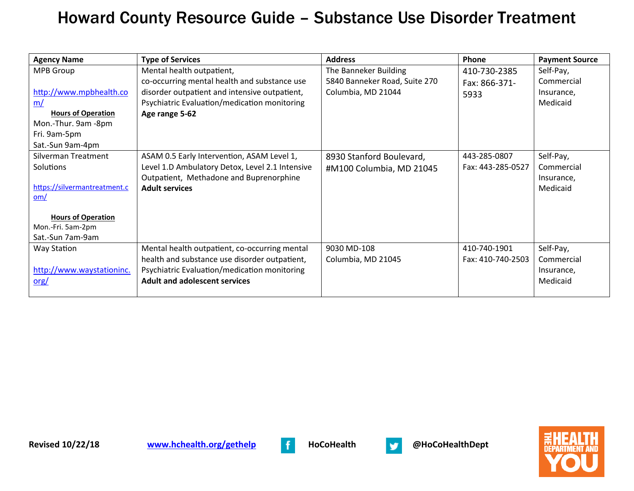| <b>Agency Name</b>           | <b>Type of Services</b>                         | <b>Address</b>                | Phone             | <b>Payment Source</b> |
|------------------------------|-------------------------------------------------|-------------------------------|-------------------|-----------------------|
| <b>MPB Group</b>             | Mental health outpatient,                       | The Banneker Building         | 410-730-2385      | Self-Pay,             |
|                              | co-occurring mental health and substance use    | 5840 Banneker Road, Suite 270 | Fax: 866-371-     | Commercial            |
| http://www.mpbhealth.co      | disorder outpatient and intensive outpatient,   | Columbia, MD 21044            | 5933              | Insurance,            |
| <u>m/</u>                    | Psychiatric Evaluation/medication monitoring    |                               |                   | Medicaid              |
| <b>Hours of Operation</b>    | Age range 5-62                                  |                               |                   |                       |
| Mon.-Thur. 9am -8pm          |                                                 |                               |                   |                       |
| Fri. 9am-5pm                 |                                                 |                               |                   |                       |
| Sat.-Sun 9am-4pm             |                                                 |                               |                   |                       |
| Silverman Treatment          | ASAM 0.5 Early Intervention, ASAM Level 1,      | 8930 Stanford Boulevard,      | 443-285-0807      | Self-Pay,             |
| Solutions                    | Level 1.D Ambulatory Detox, Level 2.1 Intensive | #M100 Columbia, MD 21045      | Fax: 443-285-0527 | Commercial            |
|                              | Outpatient, Methadone and Buprenorphine         |                               |                   | Insurance,            |
| https://silvermantreatment.c | <b>Adult services</b>                           |                               |                   | Medicaid              |
| om/                          |                                                 |                               |                   |                       |
| <b>Hours of Operation</b>    |                                                 |                               |                   |                       |
| Mon.-Fri. 5am-2pm            |                                                 |                               |                   |                       |
| Sat.-Sun 7am-9am             |                                                 |                               |                   |                       |
| <b>Way Station</b>           | Mental health outpatient, co-occurring mental   | 9030 MD-108                   | 410-740-1901      | Self-Pay,             |
|                              | health and substance use disorder outpatient,   | Columbia, MD 21045            | Fax: 410-740-2503 | Commercial            |
| http://www.waystationinc.    | Psychiatric Evaluation/medication monitoring    |                               |                   | Insurance,            |
| $org/$                       | <b>Adult and adolescent services</b>            |                               |                   | Medicaid              |
|                              |                                                 |                               |                   |                       |



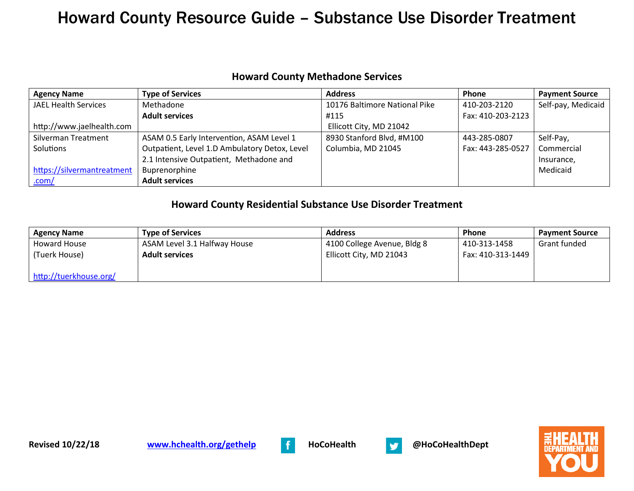#### **Howard County Methadone Services**

| <b>Agency Name</b>          | <b>Type of Services</b>                       | <b>Address</b>                | Phone             | <b>Payment Source</b> |
|-----------------------------|-----------------------------------------------|-------------------------------|-------------------|-----------------------|
| <b>JAEL Health Services</b> | Methadone                                     | 10176 Baltimore National Pike | 410-203-2120      | Self-pay, Medicaid    |
|                             | <b>Adult services</b>                         | #115                          | Fax: 410-203-2123 |                       |
| http://www.jaelhealth.com   |                                               | Ellicott City, MD 21042       |                   |                       |
| Silverman Treatment         | ASAM 0.5 Early Intervention, ASAM Level 1     | 8930 Stanford Blvd, #M100     | 443-285-0807      | Self-Pay,             |
| Solutions                   | Outpatient, Level 1.D Ambulatory Detox, Level | Columbia, MD 21045            | Fax: 443-285-0527 | Commercial            |
|                             | 2.1 Intensive Outpatient, Methadone and       |                               |                   | Insurance,            |
| https://silvermantreatment  | Buprenorphine                                 |                               |                   | Medicaid              |
| .com/                       | <b>Adult services</b>                         |                               |                   |                       |

#### **Howard County Residential Substance Use Disorder Treatment**

| <b>Agency Name</b>     | <b>Type of Services</b>      | <b>Address</b>              | Phone             | <b>Payment Source</b> |
|------------------------|------------------------------|-----------------------------|-------------------|-----------------------|
| Howard House           | ASAM Level 3.1 Halfway House | 4100 College Avenue, Bldg 8 | 410-313-1458      | Grant funded          |
| (Tuerk House)          | <b>Adult services</b>        | Ellicott City, MD 21043     | Fax: 410-313-1449 |                       |
|                        |                              |                             |                   |                       |
| http://tuerkhouse.org/ |                              |                             |                   |                       |



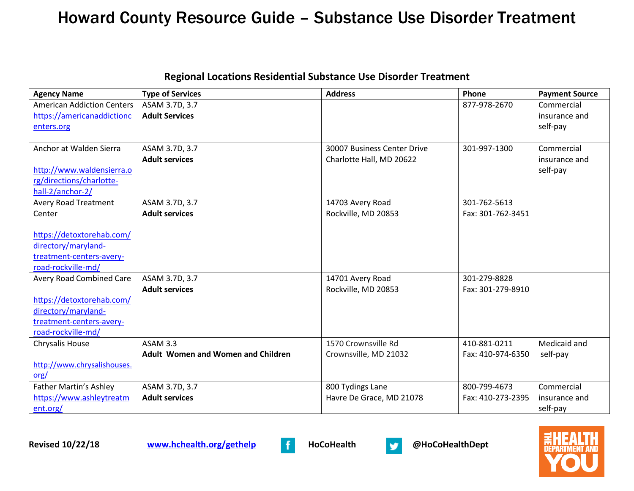| <b>Regional Locations Residential Substance Use Disorder Treatment</b> |  |
|------------------------------------------------------------------------|--|
|------------------------------------------------------------------------|--|

| <b>Agency Name</b>                | <b>Type of Services</b>                   | <b>Address</b>              | Phone             | <b>Payment Source</b> |
|-----------------------------------|-------------------------------------------|-----------------------------|-------------------|-----------------------|
| <b>American Addiction Centers</b> | ASAM 3.7D, 3.7                            |                             | 877-978-2670      | Commercial            |
| https://americanaddictionc        | <b>Adult Services</b>                     |                             |                   | insurance and         |
| enters.org                        |                                           |                             |                   | self-pay              |
|                                   |                                           |                             |                   |                       |
| Anchor at Walden Sierra           | ASAM 3.7D, 3.7                            | 30007 Business Center Drive | 301-997-1300      | Commercial            |
|                                   | <b>Adult services</b>                     | Charlotte Hall, MD 20622    |                   | insurance and         |
| http://www.waldensierra.o         |                                           |                             |                   | self-pay              |
| rg/directions/charlotte-          |                                           |                             |                   |                       |
| hall-2/anchor-2/                  |                                           |                             |                   |                       |
| <b>Avery Road Treatment</b>       | ASAM 3.7D, 3.7                            | 14703 Avery Road            | 301-762-5613      |                       |
| Center                            | <b>Adult services</b>                     | Rockville, MD 20853         | Fax: 301-762-3451 |                       |
|                                   |                                           |                             |                   |                       |
| https://detoxtorehab.com/         |                                           |                             |                   |                       |
| directory/maryland-               |                                           |                             |                   |                       |
| treatment-centers-avery-          |                                           |                             |                   |                       |
| road-rockville-md/                |                                           |                             |                   |                       |
| <b>Avery Road Combined Care</b>   | ASAM 3.7D, 3.7                            | 14701 Avery Road            | 301-279-8828      |                       |
|                                   | <b>Adult services</b>                     | Rockville, MD 20853         | Fax: 301-279-8910 |                       |
| https://detoxtorehab.com/         |                                           |                             |                   |                       |
| directory/maryland-               |                                           |                             |                   |                       |
| treatment-centers-avery-          |                                           |                             |                   |                       |
| road-rockville-md/                |                                           |                             |                   |                       |
| Chrysalis House                   | <b>ASAM 3.3</b>                           | 1570 Crownsville Rd         | 410-881-0211      | Medicaid and          |
|                                   | <b>Adult Women and Women and Children</b> | Crownsville, MD 21032       | Fax: 410-974-6350 | self-pay              |
| http://www.chrysalishouses.       |                                           |                             |                   |                       |
| $org/$                            |                                           |                             |                   |                       |
| <b>Father Martin's Ashley</b>     | ASAM 3.7D, 3.7                            | 800 Tydings Lane            | 800-799-4673      | Commercial            |
| https://www.ashleytreatm          | <b>Adult services</b>                     | Havre De Grace, MD 21078    | Fax: 410-273-2395 | insurance and         |
| ent.org/                          |                                           |                             |                   | self-pay              |



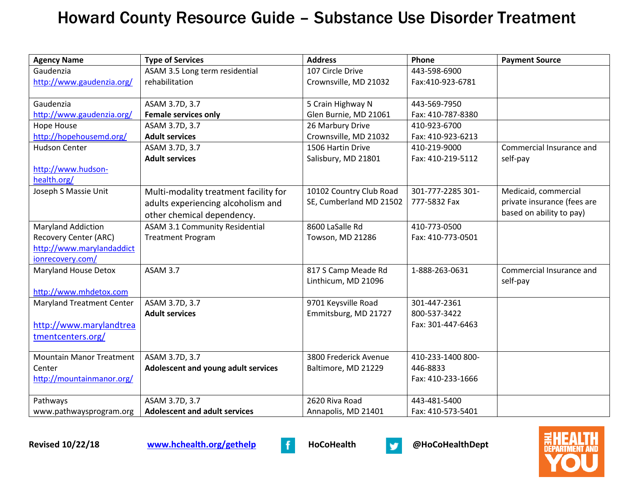| <b>Agency Name</b>               | <b>Type of Services</b>               | <b>Address</b>          | Phone             | <b>Payment Source</b>       |
|----------------------------------|---------------------------------------|-------------------------|-------------------|-----------------------------|
| Gaudenzia                        | ASAM 3.5 Long term residential        | 107 Circle Drive        | 443-598-6900      |                             |
| http://www.gaudenzia.org/        | rehabilitation                        | Crownsville, MD 21032   | Fax:410-923-6781  |                             |
|                                  |                                       |                         |                   |                             |
| Gaudenzia                        | ASAM 3.7D, 3.7                        | 5 Crain Highway N       | 443-569-7950      |                             |
| http://www.gaudenzia.org/        | <b>Female services only</b>           | Glen Burnie, MD 21061   | Fax: 410-787-8380 |                             |
| Hope House                       | ASAM 3.7D, 3.7                        | 26 Marbury Drive        | 410-923-6700      |                             |
| http://hopehousemd.org/          | <b>Adult services</b>                 | Crownsville, MD 21032   | Fax: 410-923-6213 |                             |
| <b>Hudson Center</b>             | ASAM 3.7D, 3.7                        | 1506 Hartin Drive       | 410-219-9000      | Commercial Insurance and    |
|                                  | <b>Adult services</b>                 | Salisbury, MD 21801     | Fax: 410-219-5112 | self-pay                    |
| http://www.hudson-               |                                       |                         |                   |                             |
| health.org/                      |                                       |                         |                   |                             |
| Joseph S Massie Unit             | Multi-modality treatment facility for | 10102 Country Club Road | 301-777-2285 301- | Medicaid, commercial        |
|                                  | adults experiencing alcoholism and    | SE, Cumberland MD 21502 | 777-5832 Fax      | private insurance (fees are |
|                                  | other chemical dependency.            |                         |                   | based on ability to pay)    |
| <b>Maryland Addiction</b>        | <b>ASAM 3.1 Community Residential</b> | 8600 LaSalle Rd         | 410-773-0500      |                             |
| <b>Recovery Center (ARC)</b>     | <b>Treatment Program</b>              | Towson, MD 21286        | Fax: 410-773-0501 |                             |
| http://www.marylandaddict        |                                       |                         |                   |                             |
| ionrecovery.com/                 |                                       |                         |                   |                             |
| <b>Maryland House Detox</b>      | ASAM 3.7                              | 817 S Camp Meade Rd     | 1-888-263-0631    | Commercial Insurance and    |
|                                  |                                       | Linthicum, MD 21096     |                   | self-pay                    |
| http://www.mhdetox.com           |                                       |                         |                   |                             |
| <b>Maryland Treatment Center</b> | ASAM 3.7D, 3.7                        | 9701 Keysville Road     | 301-447-2361      |                             |
|                                  | <b>Adult services</b>                 | Emmitsburg, MD 21727    | 800-537-3422      |                             |
| http://www.marylandtrea          |                                       |                         | Fax: 301-447-6463 |                             |
| tmentcenters.org/                |                                       |                         |                   |                             |
|                                  |                                       |                         |                   |                             |
| <b>Mountain Manor Treatment</b>  | ASAM 3.7D, 3.7                        | 3800 Frederick Avenue   | 410-233-1400 800- |                             |
| Center                           | Adolescent and young adult services   | Baltimore, MD 21229     | 446-8833          |                             |
| http://mountainmanor.org/        |                                       |                         | Fax: 410-233-1666 |                             |
|                                  |                                       |                         |                   |                             |
| Pathways                         | ASAM 3.7D, 3.7                        | 2620 Riva Road          | 443-481-5400      |                             |
| www.pathwaysprogram.org          | <b>Adolescent and adult services</b>  | Annapolis, MD 21401     | Fax: 410-573-5401 |                             |



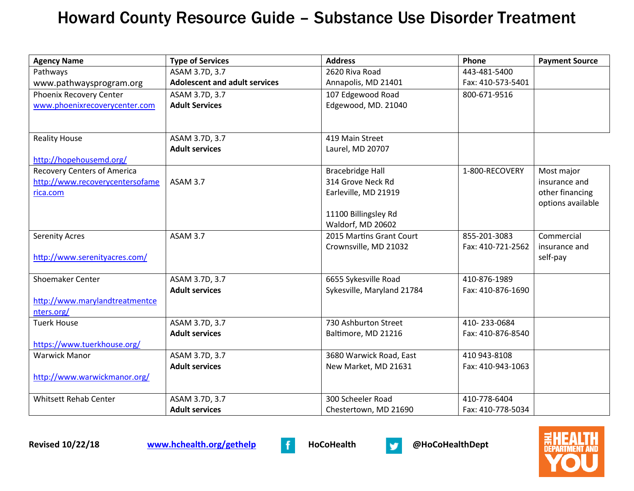| <b>Agency Name</b>                 | <b>Type of Services</b>              | <b>Address</b>             | Phone             | <b>Payment Source</b> |
|------------------------------------|--------------------------------------|----------------------------|-------------------|-----------------------|
| Pathways                           | ASAM 3.7D, 3.7                       | 2620 Riva Road             | 443-481-5400      |                       |
| www.pathwaysprogram.org            | <b>Adolescent and adult services</b> | Annapolis, MD 21401        | Fax: 410-573-5401 |                       |
| Phoenix Recovery Center            | ASAM 3.7D, 3.7                       | 107 Edgewood Road          | 800-671-9516      |                       |
| www.phoenixrecoverycenter.com      | <b>Adult Services</b>                | Edgewood, MD. 21040        |                   |                       |
|                                    |                                      |                            |                   |                       |
|                                    |                                      |                            |                   |                       |
| <b>Reality House</b>               | ASAM 3.7D, 3.7                       | 419 Main Street            |                   |                       |
|                                    | <b>Adult services</b>                | Laurel, MD 20707           |                   |                       |
| http://hopehousemd.org/            |                                      |                            |                   |                       |
| <b>Recovery Centers of America</b> |                                      | <b>Bracebridge Hall</b>    | 1-800-RECOVERY    | Most major            |
| http://www.recoverycentersofame    | ASAM 3.7                             | 314 Grove Neck Rd          |                   | insurance and         |
| rica.com                           |                                      | Earleville, MD 21919       |                   | other financing       |
|                                    |                                      | 11100 Billingsley Rd       |                   | options available     |
|                                    |                                      | Waldorf, MD 20602          |                   |                       |
| <b>Serenity Acres</b>              | <b>ASAM 3.7</b>                      | 2015 Martins Grant Court   | 855-201-3083      | Commercial            |
|                                    |                                      | Crownsville, MD 21032      | Fax: 410-721-2562 | insurance and         |
| http://www.serenityacres.com/      |                                      |                            |                   | self-pay              |
|                                    |                                      |                            |                   |                       |
| <b>Shoemaker Center</b>            | ASAM 3.7D, 3.7                       | 6655 Sykesville Road       | 410-876-1989      |                       |
|                                    | <b>Adult services</b>                | Sykesville, Maryland 21784 | Fax: 410-876-1690 |                       |
| http://www.marylandtreatmentce     |                                      |                            |                   |                       |
| nters.org/                         |                                      |                            |                   |                       |
| <b>Tuerk House</b>                 | ASAM 3.7D, 3.7                       | 730 Ashburton Street       | 410-233-0684      |                       |
|                                    | <b>Adult services</b>                | Baltimore, MD 21216        | Fax: 410-876-8540 |                       |
| https://www.tuerkhouse.org/        |                                      |                            |                   |                       |
| <b>Warwick Manor</b>               | ASAM 3.7D, 3.7                       | 3680 Warwick Road, East    | 410 943-8108      |                       |
|                                    | <b>Adult services</b>                | New Market, MD 21631       | Fax: 410-943-1063 |                       |
| http://www.warwickmanor.org/       |                                      |                            |                   |                       |
|                                    |                                      |                            |                   |                       |
| <b>Whitsett Rehab Center</b>       | ASAM 3.7D, 3.7                       | 300 Scheeler Road          | 410-778-6404      |                       |
|                                    | <b>Adult services</b>                | Chestertown, MD 21690      | Fax: 410-778-5034 |                       |